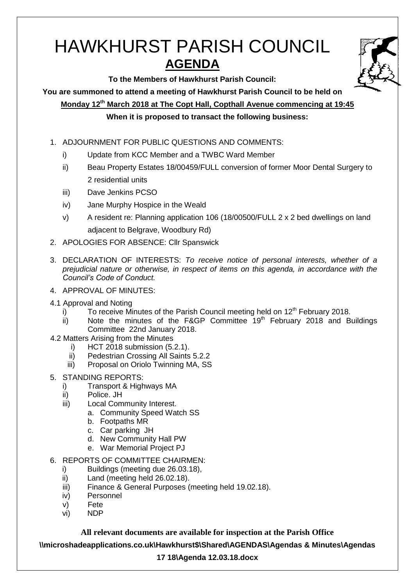# HAWKHURST PARISH COUNCIL **AGENDA**

**To the Members of Hawkhurst Parish Council:**

**You are summoned to attend a meeting of Hawkhurst Parish Council to be held on**

**Monday 12th March 2018 at The Copt Hall, Copthall Avenue commencing at 19:45**

# **When it is proposed to transact the following business:**

- 1. ADJOURNMENT FOR PUBLIC QUESTIONS AND COMMENTS:
	- i) Update from KCC Member and a TWBC Ward Member
	- ii) Beau Property Estates 18/00459/FULL conversion of former Moor Dental Surgery to 2 residential units
	- iii) Dave Jenkins PCSO
	- iv) Jane Murphy Hospice in the Weald
	- v) A resident re: Planning application 106 (18/00500/FULL 2 x 2 bed dwellings on land adjacent to Belgrave, Woodbury Rd)
- 2. APOLOGIES FOR ABSENCE: Cllr Spanswick
- 3. DECLARATION OF INTERESTS: *To receive notice of personal interests, whether of a prejudicial nature or otherwise, in respect of items on this agenda, in accordance with the Council's Code of Conduct.*
- 4. APPROVAL OF MINUTES:
- 4.1 Approval and Noting
	- i) To receive Minutes of the Parish Council meeting held on  $12<sup>th</sup>$  February 2018.
	- ii) Note the minutes of the F&GP Committee  $19<sup>th</sup>$  February 2018 and Buildings Committee 22nd January 2018.
- 4.2 Matters Arising from the Minutes
	- i) HCT 2018 submission (5.2.1).
	- ii) Pedestrian Crossing All Saints 5.2.2
	- iii) Proposal on Oriolo Twinning MA, SS
- 5. STANDING REPORTS:
	- i) Transport & Highways MA
	- ii) Police. JH
	- iii) Local Community Interest.
		- a. Community Speed Watch SS
			- b. Footpaths MR
			- c. Car parking JH
			- d. New Community Hall PW
			- e. War Memorial Project PJ
- 6. REPORTS OF COMMITTEE CHAIRMEN:
	- i) Buildings (meeting due 26.03.18),
	- ii) Land (meeting held 26.02.18).
	- iii) Finance & General Purposes (meeting held 19.02.18).
	- iv) Personnel
	- v) Fete
	- vi) NDP

## **All relevant documents are available for inspection at the Parish Office**

**\\microshadeapplications.co.uk\Hawkhurst\$\Shared\AGENDAS\Agendas & Minutes\Agendas** 

# **17 18\Agenda 12.03.18.docx**

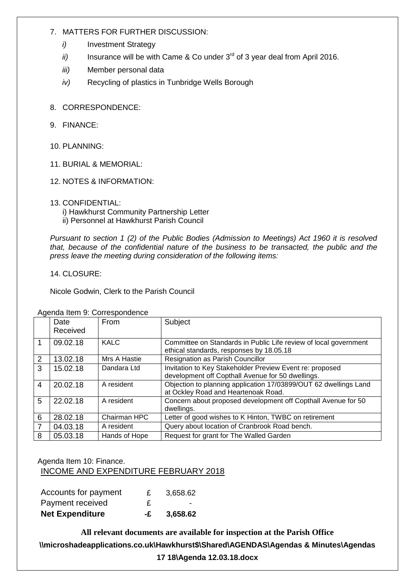### 7. MATTERS FOR FURTHER DISCUSSION:

- *i*) Investment Strategy
- *ii*) Insurance will be with Came & Co under 3<sup>rd</sup> of 3 year deal from April 2016.
- *iii)* Member personal data
- *iv)* Recycling of plastics in Tunbridge Wells Borough
- 8. CORRESPONDENCE:
- 9. FINANCE:
- 10. PLANNING:
- 11. BURIAL & MEMORIAL:
- 12. NOTES & INFORMATION:
- 13. CONFIDENTIAL:
	- i) Hawkhurst Community Partnership Letter
	- ii) Personnel at Hawkhurst Parish Council

*Pursuant to section 1 (2) of the Public Bodies (Admission to Meetings) Act 1960 it is resolved that, because of the confidential nature of the business to be transacted, the public and the press leave the meeting during consideration of the following items:*

14. CLOSURE:

Nicole Godwin, Clerk to the Parish Council

|                | <b>SPOTTOCY TOTTLE OF SOLLOOPOITOOITOO</b> |               |                                                                                                               |  |
|----------------|--------------------------------------------|---------------|---------------------------------------------------------------------------------------------------------------|--|
|                | Date<br>Received                           | <b>From</b>   | Subject                                                                                                       |  |
| 1              | 09.02.18                                   | <b>KALC</b>   | Committee on Standards in Public Life review of local government<br>ethical standards, responses by 18.05.18  |  |
| $\mathcal{P}$  | 13.02.18                                   | Mrs A Hastie  | Resignation as Parish Councillor                                                                              |  |
| 3              | 15.02.18                                   | Dandara Ltd   | Invitation to Key Stakeholder Preview Event re: proposed<br>development off Copthall Avenue for 50 dwellings. |  |
| 4              | 20.02.18                                   | A resident    | Objection to planning application 17/03899/OUT 62 dwellings Land<br>at Ockley Road and Heartenoak Road.       |  |
| 5              | 22.02.18                                   | A resident    | Concern about proposed development off Copthall Avenue for 50<br>dwellings.                                   |  |
| 6              | 28.02.18                                   | Chairman HPC  | Letter of good wishes to K Hinton, TWBC on retirement                                                         |  |
| $\overline{7}$ | 04.03.18                                   | A resident    | Query about location of Cranbrook Road bench.                                                                 |  |
| 8              | 05.03.18                                   | Hands of Hope | Request for grant for The Walled Garden                                                                       |  |

Agenda Item 9: Correspondence

## Agenda Item 10: Finance. INCOME AND EXPENDITURE FEBRUARY 2018

| Accounts for payment   |              | 3,658.62 |
|------------------------|--------------|----------|
| Payment received       | $\mathbf{f}$ | -        |
| <b>Net Expenditure</b> | -£           | 3,658.62 |

**All relevant documents are available for inspection at the Parish Office \\microshadeapplications.co.uk\Hawkhurst\$\Shared\AGENDAS\Agendas & Minutes\Agendas 17 18\Agenda 12.03.18.docx**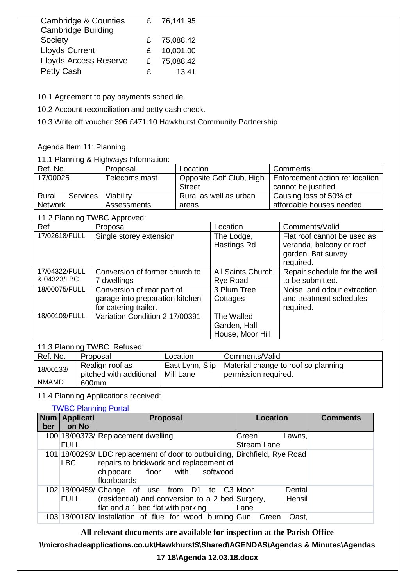| <b>Cambridge &amp; Counties</b> |   | 76,141.95 |
|---------------------------------|---|-----------|
| <b>Cambridge Building</b>       |   |           |
| Society                         | £ | 75,088.42 |
| <b>Lloyds Current</b>           | £ | 10,001.00 |
| <b>Lloyds Access Reserve</b>    | £ | 75,088.42 |
| <b>Petty Cash</b>               | £ | 13.41     |

10.1 Agreement to pay payments schedule.

10.2 Account reconciliation and petty cash check.

10.3 Write off voucher 396 £471.10 Hawkhurst Community Partnership

#### Agenda Item 11: Planning

#### 11.1 Planning & Highways Information:

| Ref. No.          | Proposal      | Location               | Comments                                                   |
|-------------------|---------------|------------------------|------------------------------------------------------------|
| 17/00025          | Telecoms mast |                        | Opposite Golf Club, High   Enforcement action re: location |
|                   |               | <b>Street</b>          | cannot be justified.                                       |
| Rural<br>Services | Viability     | Rural as well as urban | Causing loss of 50% of                                     |
| <b>Network</b>    | Assessments   | areas                  | affordable houses needed.                                  |

# 11.2 Planning TWBC Approved:

| Ref                          | Proposal                                                                               | Location                                       | Comments/Valid                                                                             |
|------------------------------|----------------------------------------------------------------------------------------|------------------------------------------------|--------------------------------------------------------------------------------------------|
| 17/02618/FULL                | Single storey extension                                                                | The Lodge,<br>Hastings Rd                      | Flat roof cannot be used as<br>veranda, balcony or roof<br>garden. Bat survey<br>required. |
| 17/04322/FULL<br>& 04323/LBC | Conversion of former church to<br>7 dwellings                                          | All Saints Church,<br><b>Rye Road</b>          | Repair schedule for the well<br>to be submitted.                                           |
| 18/00075/FULL                | Conversion of rear part of<br>garage into preparation kitchen<br>for catering trailer. | 3 Plum Tree<br>Cottages                        | Noise and odour extraction<br>and treatment schedules<br>required.                         |
| 18/00109/FULL                | Variation Condition 2 17/00391                                                         | The Walled<br>Garden, Hall<br>House, Moor Hill |                                                                                            |

## 11.3 Planning TWBC Refused:

| Ref. No.     | Proposal                                   | Location                     | Comments/Valid                                              |
|--------------|--------------------------------------------|------------------------------|-------------------------------------------------------------|
| 18/00133/    | Realign roof as<br>pitched with additional | East Lynn, Slip<br>Mill Lane | Material change to roof so planning<br>permission required. |
| <b>NMAMD</b> | 600mm                                      |                              |                                                             |

### 11.4 Planning Applications received:

## [TWBC Planning Portal](http://www.tunbridgewells.gov.uk/residents/planning/planning-application-search)

| Num<br>ber | <b>Applicati</b><br>on No | <b>Proposal</b>                                                                                                                                                          | Location                              | <b>Comments</b> |
|------------|---------------------------|--------------------------------------------------------------------------------------------------------------------------------------------------------------------------|---------------------------------------|-----------------|
|            | <b>FULL</b>               | 100 18/00373/ Replacement dwelling                                                                                                                                       | Green<br>Lawns.<br><b>Stream Lane</b> |                 |
|            | LBC                       | 101 18/00293/ LBC replacement of door to outbuilding, Birchfield, Rye Road<br>repairs to brickwork and replacement of<br>chipboard floor with<br>softwood<br>floorboards |                                       |                 |
|            | <b>FULL</b>               | 102 18/00459/ Change of use from D1 to C3 Moor<br>(residential) and conversion to a 2 bed Surgery,<br>flat and a 1 bed flat with parking                                 | Dental<br>Hensil<br>Lane              |                 |
|            |                           | 103 18/00180/ Installation of flue for wood burning Gun Green                                                                                                            | Oast.                                 |                 |

**All relevant documents are available for inspection at the Parish Office**

## **\\microshadeapplications.co.uk\Hawkhurst\$\Shared\AGENDAS\Agendas & Minutes\Agendas**

#### **17 18\Agenda 12.03.18.docx**